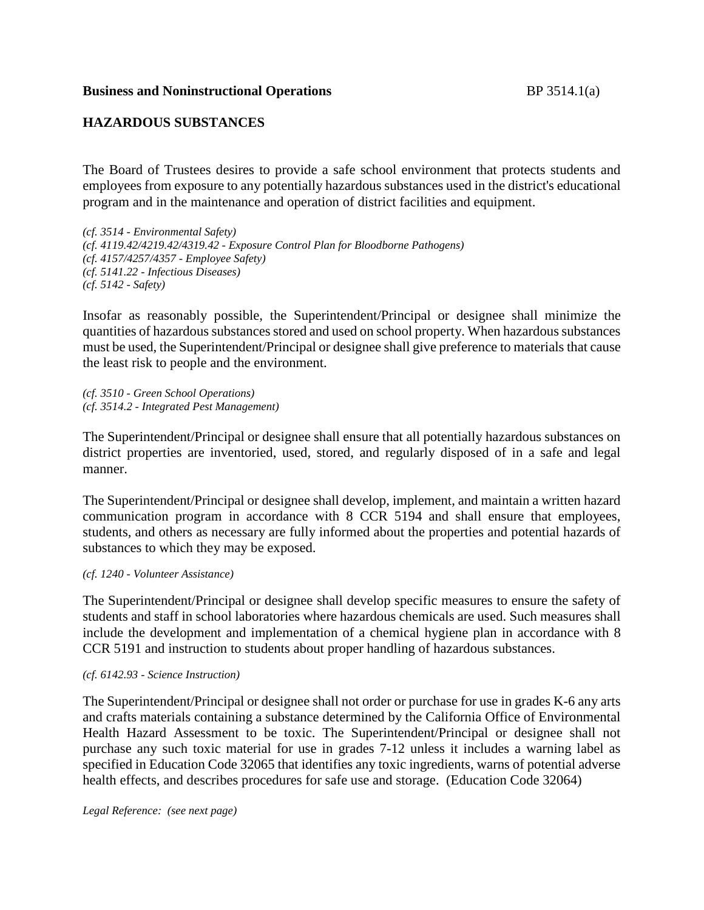# **HAZARDOUS SUBSTANCES**

The Board of Trustees desires to provide a safe school environment that protects students and employees from exposure to any potentially hazardous substances used in the district's educational program and in the maintenance and operation of district facilities and equipment.

*(cf. 3514 - Environmental Safety) (cf. 4119.42/4219.42/4319.42 - Exposure Control Plan for Bloodborne Pathogens) (cf. 4157/4257/4357 - Employee Safety) (cf. 5141.22 - Infectious Diseases) (cf. 5142 - Safety)*

Insofar as reasonably possible, the Superintendent/Principal or designee shall minimize the quantities of hazardous substances stored and used on school property. When hazardous substances must be used, the Superintendent/Principal or designee shall give preference to materials that cause the least risk to people and the environment.

*(cf. 3510 - Green School Operations) (cf. 3514.2 - Integrated Pest Management)*

The Superintendent/Principal or designee shall ensure that all potentially hazardous substances on district properties are inventoried, used, stored, and regularly disposed of in a safe and legal manner.

The Superintendent/Principal or designee shall develop, implement, and maintain a written hazard communication program in accordance with 8 CCR 5194 and shall ensure that employees, students, and others as necessary are fully informed about the properties and potential hazards of substances to which they may be exposed.

*(cf. 1240 - Volunteer Assistance)*

The Superintendent/Principal or designee shall develop specific measures to ensure the safety of students and staff in school laboratories where hazardous chemicals are used. Such measures shall include the development and implementation of a chemical hygiene plan in accordance with 8 CCR 5191 and instruction to students about proper handling of hazardous substances.

#### *(cf. 6142.93 - Science Instruction)*

The Superintendent/Principal or designee shall not order or purchase for use in grades K-6 any arts and crafts materials containing a substance determined by the California Office of Environmental Health Hazard Assessment to be toxic. The Superintendent/Principal or designee shall not purchase any such toxic material for use in grades 7-12 unless it includes a warning label as specified in Education Code 32065 that identifies any toxic ingredients, warns of potential adverse health effects, and describes procedures for safe use and storage. (Education Code 32064)

*Legal Reference: (see next page)*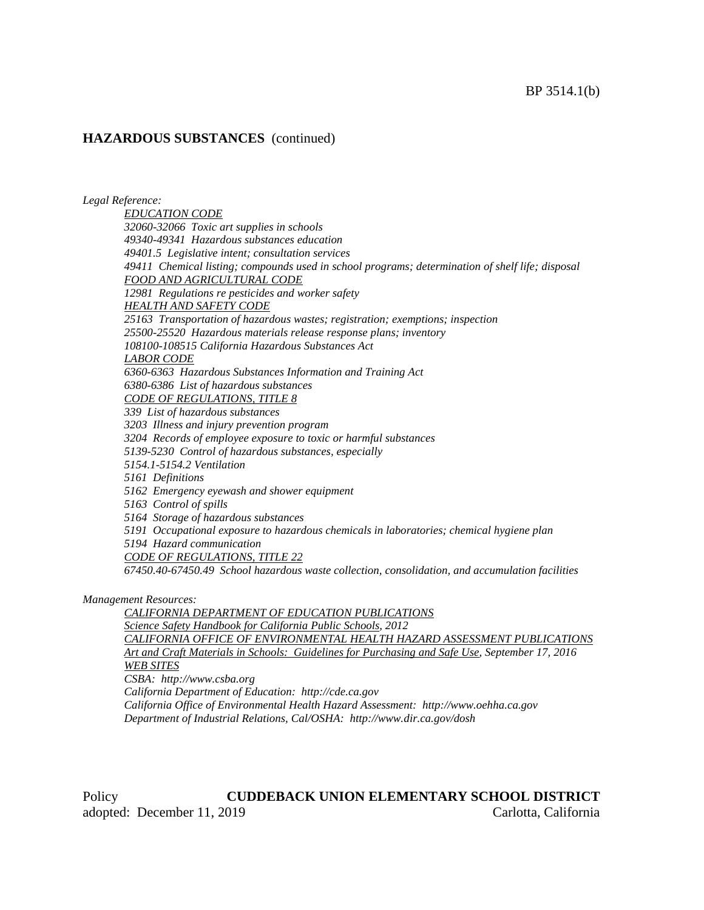#### **HAZARDOUS SUBSTANCES** (continued)

*Legal Reference:*

*EDUCATION CODE 32060-32066 Toxic art supplies in schools 49340-49341 Hazardous substances education 49401.5 Legislative intent; consultation services 49411 Chemical listing; compounds used in school programs; determination of shelf life; disposal FOOD AND AGRICULTURAL CODE 12981 Regulations re pesticides and worker safety HEALTH AND SAFETY CODE 25163 Transportation of hazardous wastes; registration; exemptions; inspection 25500-25520 Hazardous materials release response plans; inventory 108100-108515 California Hazardous Substances Act LABOR CODE 6360-6363 Hazardous Substances Information and Training Act 6380-6386 List of hazardous substances CODE OF REGULATIONS, TITLE 8 339 List of hazardous substances 3203 Illness and injury prevention program 3204 Records of employee exposure to toxic or harmful substances 5139-5230 Control of hazardous substances, especially 5154.1-5154.2 Ventilation 5161 Definitions 5162 Emergency eyewash and shower equipment 5163 Control of spills 5164 Storage of hazardous substances 5191 Occupational exposure to hazardous chemicals in laboratories; chemical hygiene plan 5194 Hazard communication CODE OF REGULATIONS, TITLE 22 67450.40-67450.49 School hazardous waste collection, consolidation, and accumulation facilities Management Resources: CALIFORNIA DEPARTMENT OF EDUCATION PUBLICATIONS Science Safety Handbook for California Public Schools, 2012 CALIFORNIA OFFICE OF ENVIRONMENTAL HEALTH HAZARD ASSESSMENT PUBLICATIONS Art and Craft Materials in Schools: Guidelines for Purchasing and Safe Use, September 17, 2016*

*WEB SITES*

*CSBA: http://www.csba.org*

*California Department of Education: http://cde.ca.gov*

*California Office of Environmental Health Hazard Assessment: http://www.oehha.ca.gov Department of Industrial Relations, Cal/OSHA: http://www.dir.ca.gov/dosh*

Policy **CUDDEBACK UNION ELEMENTARY SCHOOL DISTRICT** adopted: December 11, 2019 Carlotta, California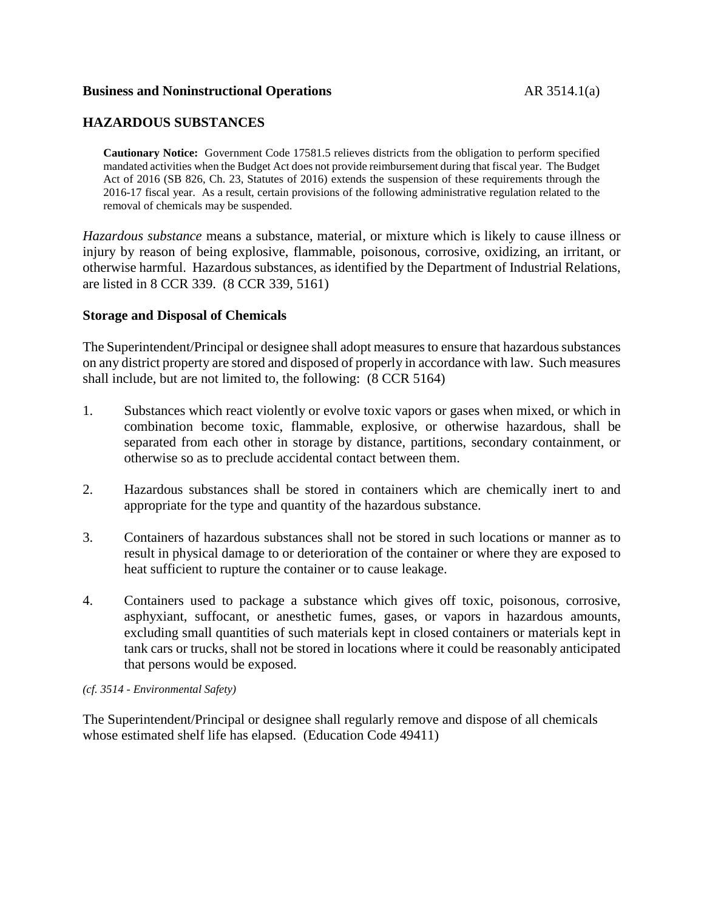#### **Business and Noninstructional Operations** AR 3514.1(a)

## **HAZARDOUS SUBSTANCES**

**Cautionary Notice:** Government Code 17581.5 relieves districts from the obligation to perform specified mandated activities when the Budget Act does not provide reimbursement during that fiscal year. The Budget Act of 2016 (SB 826, Ch. 23, Statutes of 2016) extends the suspension of these requirements through the 2016-17 fiscal year. As a result, certain provisions of the following administrative regulation related to the removal of chemicals may be suspended.

*Hazardous substance* means a substance, material, or mixture which is likely to cause illness or injury by reason of being explosive, flammable, poisonous, corrosive, oxidizing, an irritant, or otherwise harmful. Hazardous substances, as identified by the Department of Industrial Relations, are listed in 8 CCR 339. (8 CCR 339, 5161)

### **Storage and Disposal of Chemicals**

The Superintendent/Principal or designee shall adopt measures to ensure that hazardous substances on any district property are stored and disposed of properly in accordance with law. Such measures shall include, but are not limited to, the following: (8 CCR 5164)

- 1. Substances which react violently or evolve toxic vapors or gases when mixed, or which in combination become toxic, flammable, explosive, or otherwise hazardous, shall be separated from each other in storage by distance, partitions, secondary containment, or otherwise so as to preclude accidental contact between them.
- 2. Hazardous substances shall be stored in containers which are chemically inert to and appropriate for the type and quantity of the hazardous substance.
- 3. Containers of hazardous substances shall not be stored in such locations or manner as to result in physical damage to or deterioration of the container or where they are exposed to heat sufficient to rupture the container or to cause leakage.
- 4. Containers used to package a substance which gives off toxic, poisonous, corrosive, asphyxiant, suffocant, or anesthetic fumes, gases, or vapors in hazardous amounts, excluding small quantities of such materials kept in closed containers or materials kept in tank cars or trucks, shall not be stored in locations where it could be reasonably anticipated that persons would be exposed.

*(cf. 3514 - Environmental Safety)*

The Superintendent/Principal or designee shall regularly remove and dispose of all chemicals whose estimated shelf life has elapsed. (Education Code 49411)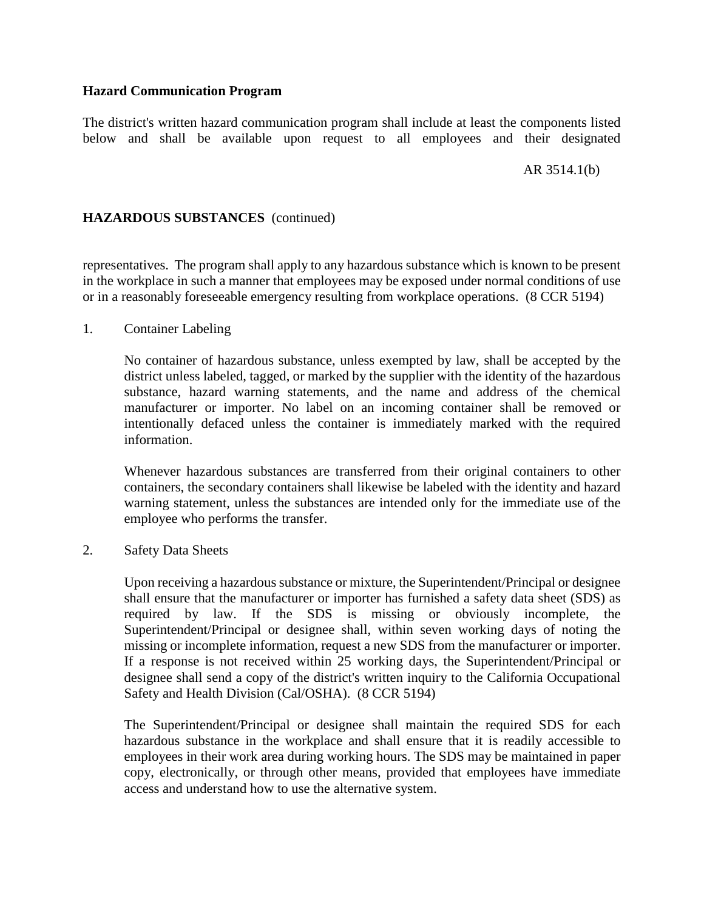## **Hazard Communication Program**

The district's written hazard communication program shall include at least the components listed below and shall be available upon request to all employees and their designated

AR 3514.1(b)

# **HAZARDOUS SUBSTANCES** (continued)

representatives. The program shall apply to any hazardous substance which is known to be present in the workplace in such a manner that employees may be exposed under normal conditions of use or in a reasonably foreseeable emergency resulting from workplace operations. (8 CCR 5194)

1. Container Labeling

No container of hazardous substance, unless exempted by law, shall be accepted by the district unless labeled, tagged, or marked by the supplier with the identity of the hazardous substance, hazard warning statements, and the name and address of the chemical manufacturer or importer. No label on an incoming container shall be removed or intentionally defaced unless the container is immediately marked with the required information.

Whenever hazardous substances are transferred from their original containers to other containers, the secondary containers shall likewise be labeled with the identity and hazard warning statement, unless the substances are intended only for the immediate use of the employee who performs the transfer.

2. Safety Data Sheets

Upon receiving a hazardous substance or mixture, the Superintendent/Principal or designee shall ensure that the manufacturer or importer has furnished a safety data sheet (SDS) as required by law. If the SDS is missing or obviously incomplete, the Superintendent/Principal or designee shall, within seven working days of noting the missing or incomplete information, request a new SDS from the manufacturer or importer. If a response is not received within 25 working days, the Superintendent/Principal or designee shall send a copy of the district's written inquiry to the California Occupational Safety and Health Division (Cal/OSHA). (8 CCR 5194)

The Superintendent/Principal or designee shall maintain the required SDS for each hazardous substance in the workplace and shall ensure that it is readily accessible to employees in their work area during working hours. The SDS may be maintained in paper copy, electronically, or through other means, provided that employees have immediate access and understand how to use the alternative system.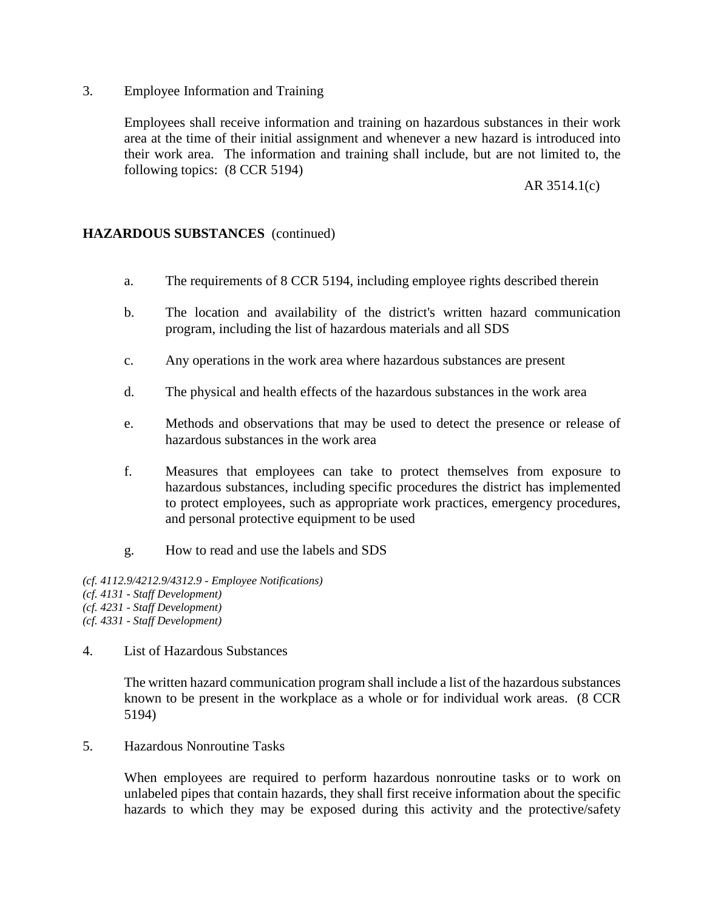3. Employee Information and Training

Employees shall receive information and training on hazardous substances in their work area at the time of their initial assignment and whenever a new hazard is introduced into their work area. The information and training shall include, but are not limited to, the following topics: (8 CCR 5194)

### AR 3514.1(c)

## **HAZARDOUS SUBSTANCES** (continued)

- a. The requirements of 8 CCR 5194, including employee rights described therein
- b. The location and availability of the district's written hazard communication program, including the list of hazardous materials and all SDS
- c. Any operations in the work area where hazardous substances are present
- d. The physical and health effects of the hazardous substances in the work area
- e. Methods and observations that may be used to detect the presence or release of hazardous substances in the work area
- f. Measures that employees can take to protect themselves from exposure to hazardous substances, including specific procedures the district has implemented to protect employees, such as appropriate work practices, emergency procedures, and personal protective equipment to be used
- g. How to read and use the labels and SDS

*(cf. 4112.9/4212.9/4312.9 - Employee Notifications) (cf. 4131 - Staff Development) (cf. 4231 - Staff Development) (cf. 4331 - Staff Development)*

4. List of Hazardous Substances

The written hazard communication program shall include a list of the hazardous substances known to be present in the workplace as a whole or for individual work areas. (8 CCR 5194)

5. Hazardous Nonroutine Tasks

When employees are required to perform hazardous nonroutine tasks or to work on unlabeled pipes that contain hazards, they shall first receive information about the specific hazards to which they may be exposed during this activity and the protective/safety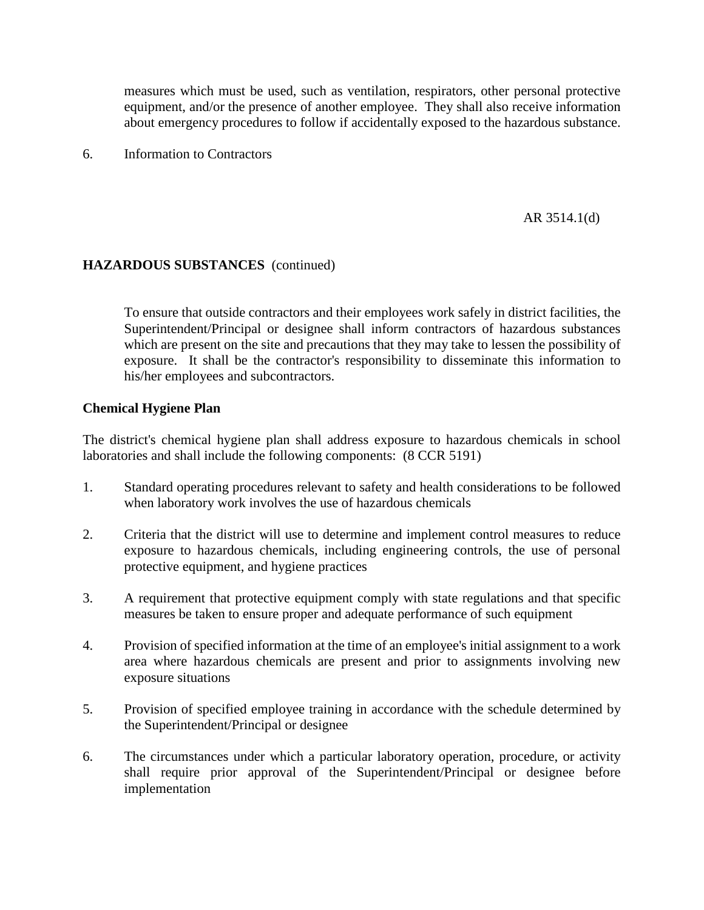measures which must be used, such as ventilation, respirators, other personal protective equipment, and/or the presence of another employee. They shall also receive information about emergency procedures to follow if accidentally exposed to the hazardous substance.

6. Information to Contractors

AR 3514.1(d)

### **HAZARDOUS SUBSTANCES** (continued)

To ensure that outside contractors and their employees work safely in district facilities, the Superintendent/Principal or designee shall inform contractors of hazardous substances which are present on the site and precautions that they may take to lessen the possibility of exposure. It shall be the contractor's responsibility to disseminate this information to his/her employees and subcontractors.

#### **Chemical Hygiene Plan**

The district's chemical hygiene plan shall address exposure to hazardous chemicals in school laboratories and shall include the following components: (8 CCR 5191)

- 1. Standard operating procedures relevant to safety and health considerations to be followed when laboratory work involves the use of hazardous chemicals
- 2. Criteria that the district will use to determine and implement control measures to reduce exposure to hazardous chemicals, including engineering controls, the use of personal protective equipment, and hygiene practices
- 3. A requirement that protective equipment comply with state regulations and that specific measures be taken to ensure proper and adequate performance of such equipment
- 4. Provision of specified information at the time of an employee's initial assignment to a work area where hazardous chemicals are present and prior to assignments involving new exposure situations
- 5. Provision of specified employee training in accordance with the schedule determined by the Superintendent/Principal or designee
- 6. The circumstances under which a particular laboratory operation, procedure, or activity shall require prior approval of the Superintendent/Principal or designee before implementation